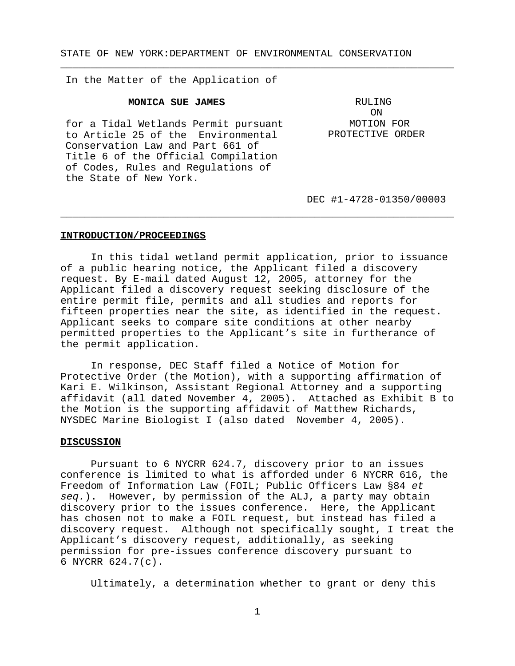STATE OF NEW YORK:DEPARTMENT OF ENVIRONMENTAL CONSERVATION

\_\_\_\_\_\_\_\_\_\_\_\_\_\_\_\_\_\_\_\_\_\_\_\_\_\_\_\_\_\_\_\_\_\_\_\_\_\_\_\_\_\_\_\_\_\_\_\_\_\_\_\_\_\_\_\_\_\_\_\_\_\_\_\_\_

In the Matter of the Application of

### **MONICA SUE JAMES**

for a Tidal Wetlands Permit pursuant to Article 25 of the Environmental Conservation Law and Part 661 of Title 6 of the Official Compilation of Codes, Rules and Regulations of the State of New York.

RULING ON MOTION FOR PROTECTIVE ORDER

DEC #1-4728-01350/00003

### **INTRODUCTION/PROCEEDINGS**

In this tidal wetland permit application, prior to issuance of a public hearing notice, the Applicant filed a discovery request. By E-mail dated August 12, 2005, attorney for the Applicant filed a discovery request seeking disclosure of the entire permit file, permits and all studies and reports for fifteen properties near the site, as identified in the request. Applicant seeks to compare site conditions at other nearby permitted properties to the Applicant's site in furtherance of the permit application.

\_\_\_\_\_\_\_\_\_\_\_\_\_\_\_\_\_\_\_\_\_\_\_\_\_\_\_\_\_\_\_\_\_\_\_\_\_\_\_\_\_\_\_\_\_\_\_\_\_\_\_\_\_\_\_\_\_\_\_\_\_\_\_\_\_

In response, DEC Staff filed a Notice of Motion for Protective Order (the Motion), with a supporting affirmation of Kari E. Wilkinson, Assistant Regional Attorney and a supporting affidavit (all dated November 4, 2005). Attached as Exhibit B to the Motion is the supporting affidavit of Matthew Richards, NYSDEC Marine Biologist I (also dated November 4, 2005).

#### **DISCUSSION**

Pursuant to 6 NYCRR 624.7, discovery prior to an issues conference is limited to what is afforded under 6 NYCRR 616, the Freedom of Information Law (FOIL; Public Officers Law §84 *et seq.*). However, by permission of the ALJ, a party may obtain discovery prior to the issues conference. Here, the Applicant has chosen not to make a FOIL request, but instead has filed a discovery request. Although not specifically sought, I treat the Applicant's discovery request, additionally, as seeking permission for pre-issues conference discovery pursuant to 6 NYCRR 624.7(c).

Ultimately, a determination whether to grant or deny this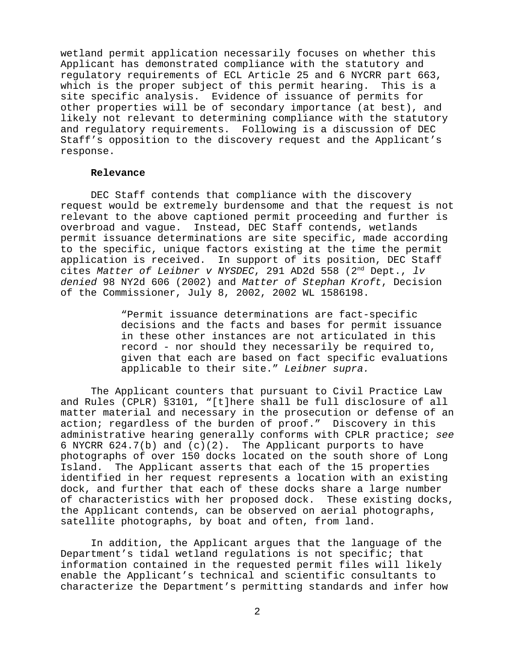wetland permit application necessarily focuses on whether this Applicant has demonstrated compliance with the statutory and regulatory requirements of ECL Article 25 and 6 NYCRR part 663, which is the proper subject of this permit hearing. This is a site specific analysis. Evidence of issuance of permits for other properties will be of secondary importance (at best), and likely not relevant to determining compliance with the statutory and regulatory requirements. Following is a discussion of DEC Staff's opposition to the discovery request and the Applicant's response.

## **Relevance**

DEC Staff contends that compliance with the discovery request would be extremely burdensome and that the request is not relevant to the above captioned permit proceeding and further is overbroad and vague. Instead, DEC Staff contends, wetlands permit issuance determinations are site specific, made according to the specific, unique factors existing at the time the permit application is received. In support of its position, DEC Staff cites *Matter of Leibner v NYSDEC*, 291 AD2d 558 (2nd Dept., *lv denied* 98 NY2d 606 (2002) and *Matter of Stephan Kroft*, Decision of the Commissioner, July 8, 2002, 2002 WL 1586198.

> "Permit issuance determinations are fact-specific decisions and the facts and bases for permit issuance in these other instances are not articulated in this record - nor should they necessarily be required to, given that each are based on fact specific evaluations applicable to their site." *Leibner supra.*

The Applicant counters that pursuant to Civil Practice Law and Rules (CPLR) §3101, "[t]here shall be full disclosure of all matter material and necessary in the prosecution or defense of an action; regardless of the burden of proof." Discovery in this administrative hearing generally conforms with CPLR practice; *see* 6 NYCRR  $624.7(b)$  and  $(c)(2)$ . The Applicant purports to have photographs of over 150 docks located on the south shore of Long Island. The Applicant asserts that each of the 15 properties identified in her request represents a location with an existing dock, and further that each of these docks share a large number of characteristics with her proposed dock. These existing docks, the Applicant contends, can be observed on aerial photographs, satellite photographs, by boat and often, from land.

In addition, the Applicant argues that the language of the Department's tidal wetland regulations is not specific; that information contained in the requested permit files will likely enable the Applicant's technical and scientific consultants to characterize the Department's permitting standards and infer how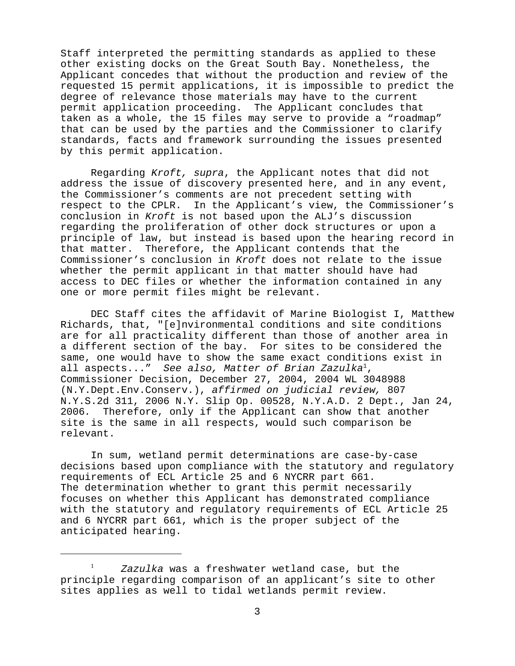Staff interpreted the permitting standards as applied to these other existing docks on the Great South Bay. Nonetheless, the Applicant concedes that without the production and review of the requested 15 permit applications, it is impossible to predict the degree of relevance those materials may have to the current permit application proceeding. The Applicant concludes that taken as a whole, the 15 files may serve to provide a "roadmap" that can be used by the parties and the Commissioner to clarify standards, facts and framework surrounding the issues presented by this permit application.

Regarding *Kroft, supra*, the Applicant notes that did not address the issue of discovery presented here, and in any event, the Commissioner's comments are not precedent setting with respect to the CPLR. In the Applicant's view, the Commissioner's conclusion in *Kroft* is not based upon the ALJ's discussion regarding the proliferation of other dock structures or upon a principle of law, but instead is based upon the hearing record in that matter. Therefore, the Applicant contends that the Commissioner's conclusion in *Kroft* does not relate to the issue whether the permit applicant in that matter should have had access to DEC files or whether the information contained in any one or more permit files might be relevant.

DEC Staff cites the affidavit of Marine Biologist I, Matthew Richards, that, "[e]nvironmental conditions and site conditions are for all practicality different than those of another area in a different section of the bay. For sites to be considered the same, one would have to show the same exact conditions exist in all aspects..." *See also, Matter of Brian Zazulka*<sup>1</sup> , Commissioner Decision, December 27, 2004, 2004 WL 3048988 (N.Y.Dept.Env.Conserv.), *affirmed on judicial review,* 807 N.Y.S.2d 311, 2006 N.Y. Slip Op. 00528, N.Y.A.D. 2 Dept., Jan 24, 2006*.* Therefore, only if the Applicant can show that another site is the same in all respects, would such comparison be relevant.

In sum, wetland permit determinations are case-by-case decisions based upon compliance with the statutory and regulatory requirements of ECL Article 25 and 6 NYCRR part 661. The determination whether to grant this permit necessarily focuses on whether this Applicant has demonstrated compliance with the statutory and regulatory requirements of ECL Article 25 and 6 NYCRR part 661, which is the proper subject of the anticipated hearing.

<sup>1</sup> *Zazulka* was a freshwater wetland case, but the principle regarding comparison of an applicant's site to other sites applies as well to tidal wetlands permit review.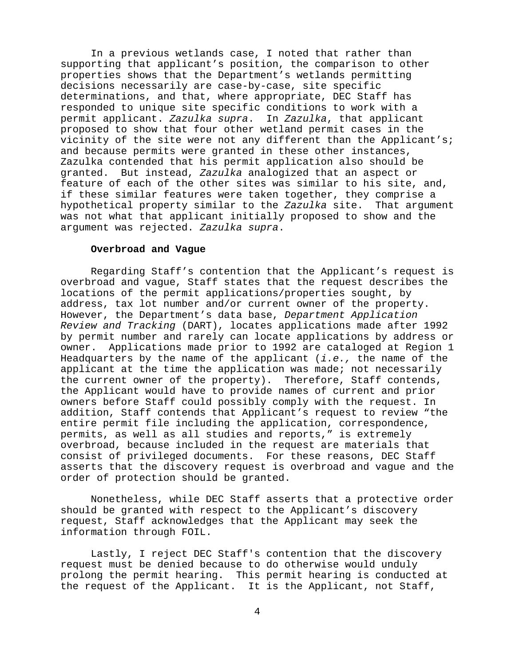In a previous wetlands case, I noted that rather than supporting that applicant's position, the comparison to other properties shows that the Department's wetlands permitting decisions necessarily are case-by-case, site specific determinations, and that, where appropriate, DEC Staff has responded to unique site specific conditions to work with a permit applicant. *Zazulka supra*. In *Zazulka*, that applicant proposed to show that four other wetland permit cases in the vicinity of the site were not any different than the Applicant's; and because permits were granted in these other instances, Zazulka contended that his permit application also should be granted. But instead, *Zazulka* analogized that an aspect or feature of each of the other sites was similar to his site, and, if these similar features were taken together, they comprise a hypothetical property similar to the *Zazulka* site. That argument was not what that applicant initially proposed to show and the argument was rejected. *Zazulka supra*.

# **Overbroad and Vague**

Regarding Staff's contention that the Applicant's request is overbroad and vague, Staff states that the request describes the locations of the permit applications/properties sought, by address, tax lot number and/or current owner of the property. However, the Department's data base, *Department Application Review and Tracking* (DART), locates applications made after 1992 by permit number and rarely can locate applications by address or owner. Applications made prior to 1992 are cataloged at Region 1 Headquarters by the name of the applicant (*i.e.,* the name of the applicant at the time the application was made; not necessarily the current owner of the property). Therefore, Staff contends, the Applicant would have to provide names of current and prior owners before Staff could possibly comply with the request. In addition, Staff contends that Applicant's request to review "the entire permit file including the application, correspondence, permits, as well as all studies and reports," is extremely overbroad, because included in the request are materials that consist of privileged documents. For these reasons, DEC Staff asserts that the discovery request is overbroad and vague and the order of protection should be granted.

Nonetheless, while DEC Staff asserts that a protective order should be granted with respect to the Applicant's discovery request, Staff acknowledges that the Applicant may seek the information through FOIL.

Lastly, I reject DEC Staff's contention that the discovery request must be denied because to do otherwise would unduly prolong the permit hearing. This permit hearing is conducted at the request of the Applicant. It is the Applicant, not Staff,